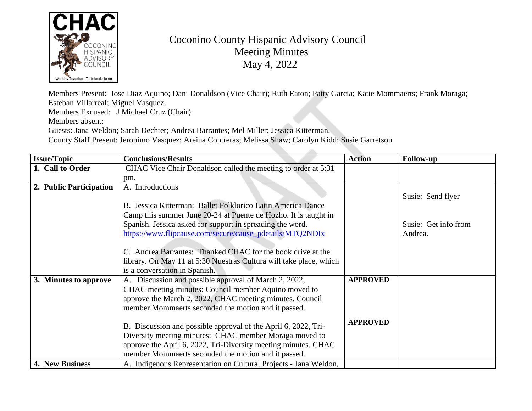

## Coconino County Hispanic Advisory Council Meeting Minutes May 4, 2022

Members Present: Jose Diaz Aquino; Dani Donaldson (Vice Chair); Ruth Eaton; Patty Garcia; Katie Mommaert Esteban Villarreal; Miguel Vasquez.

Members Excused: J [Michael Cruz \(Chair\)](https://www.flipcause.com/secure/cause_pdetails/MTQ2NDIx) Members absent:

Guests: Jana Weldon; Sarah Dechter; Andrea Barrantes; Mel Miller; Jessica Kitterman.

County Staff Present: Jeronimo Vasquez; Areina Contreras; Melissa Shaw; Carolyn Kidd; Susie Garretson

| <b>Issue/Topic</b>      | <b>Conclusions/Results</b>                                         | <b>Action</b>   | Fo |
|-------------------------|--------------------------------------------------------------------|-----------------|----|
| 1. Call to Order        | CHAC Vice Chair Donaldson called the meeting to order at 5:31      |                 |    |
|                         | pm.                                                                |                 |    |
| 2. Public Participation | A. Introductions                                                   |                 |    |
|                         |                                                                    |                 | Su |
|                         | B. Jessica Kitterman: Ballet Folklorico Latin America Dance        |                 |    |
|                         | Camp this summer June 20-24 at Puente de Hozho. It is taught in    |                 |    |
|                         | Spanish. Jessica asked for support in spreading the word.          |                 | Su |
|                         | https://www.flipcause.com/secure/cause_pdetails/MTQ2NDIx           |                 | Ar |
|                         |                                                                    |                 |    |
|                         | C. Andrea Barrantes: Thanked CHAC for the book drive at the        |                 |    |
|                         | library. On May 11 at 5:30 Nuestras Cultura will take place, which |                 |    |
|                         | is a conversation in Spanish.                                      |                 |    |
| 3. Minutes to approve   | A. Discussion and possible approval of March 2, 2022,              | <b>APPROVED</b> |    |
|                         | CHAC meeting minutes: Council member Aquino moved to               |                 |    |
|                         | approve the March 2, 2022, CHAC meeting minutes. Council           |                 |    |
|                         | member Mommaerts seconded the motion and it passed.                |                 |    |
|                         |                                                                    | <b>APPROVED</b> |    |
|                         | B. Discussion and possible approval of the April 6, 2022, Tri-     |                 |    |
|                         | Diversity meeting minutes: CHAC member Moraga moved to             |                 |    |
|                         | approve the April 6, 2022, Tri-Diversity meeting minutes. CHAC     |                 |    |
|                         | member Mommaerts seconded the motion and it passed.                |                 |    |
| 4. New Business         | A. Indigenous Representation on Cultural Projects - Jana Weldon,   |                 |    |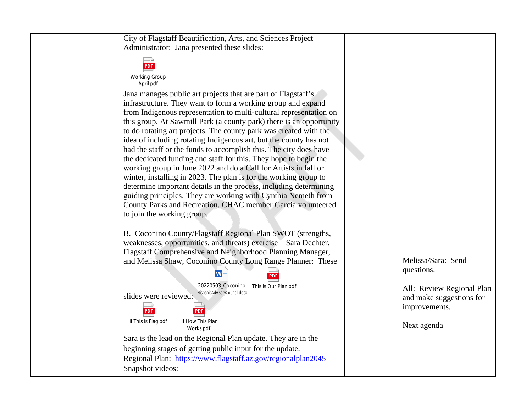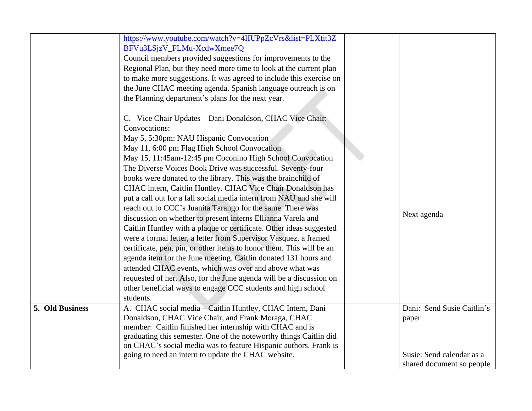|                 | https://www.youtube.com/watch?v=4IIUPpZcVrs&list=PLXtit3Z<br>BFVu3LSjzV_FLMu-XcdwXmee7Q<br>Council members provided suggestions for improvements to the<br>Regional Plan, but they need more time to look at the current plan<br>to make more suggestions. It was agreed to include this exercise on<br>the June CHAC meeting agenda. Spanish language outreach is on<br>the Planning department's plans for the next year.<br>C. Vice Chair Updates - Dani Donaldson, CHAC Vice Chair:<br>Convocations:<br>May 5, 5:30pm: NAU Hispanic Convocation                                                                                                                                                                                                                                                                                                                                                                                                                                                               |                                                                                               |
|-----------------|-------------------------------------------------------------------------------------------------------------------------------------------------------------------------------------------------------------------------------------------------------------------------------------------------------------------------------------------------------------------------------------------------------------------------------------------------------------------------------------------------------------------------------------------------------------------------------------------------------------------------------------------------------------------------------------------------------------------------------------------------------------------------------------------------------------------------------------------------------------------------------------------------------------------------------------------------------------------------------------------------------------------|-----------------------------------------------------------------------------------------------|
|                 | May 11, 6:00 pm Flag High School Convocation<br>May 15, 11:45am-12:45 pm Coconino High School Convocation<br>The Diverse Voices Book Drive was successful. Seventy-four<br>books were donated to the library. This was the brainchild of<br>CHAC intern, Caitlin Huntley. CHAC Vice Chair Donaldson has<br>put a call out for a fall social media intern from NAU and she will<br>reach out to CCC's Juanita Tarango for the same. There was<br>discussion on whether to present interns Ellianna Varela and<br>Caitlin Huntley with a plaque or certificate. Other ideas suggested<br>were a formal letter, a letter from Supervisor Vasquez, a framed<br>certificate, pen, pin, or other items to honor them. This will be an<br>agenda item for the June meeting. Caitlin donated 131 hours and<br>attended CHAC events, which was over and above what was<br>requested of her. Also, for the June agenda will be a discussion on<br>other beneficial ways to engage CCC students and high school<br>students. | Next agenda                                                                                   |
| 5. Old Business | A. CHAC social media - Caitlin Huntley, CHAC Intern, Dani<br>Donaldson, CHAC Vice Chair, and Frank Moraga, CHAC<br>member: Caitlin finished her internship with CHAC and is<br>graduating this semester. One of the noteworthy things Caitlin did<br>on CHAC's social media was to feature Hispanic authors. Frank is<br>going to need an intern to update the CHAC website.                                                                                                                                                                                                                                                                                                                                                                                                                                                                                                                                                                                                                                      | Dani: Send Susie Caitlin's<br>paper<br>Susie: Send calendar as a<br>shared document so people |